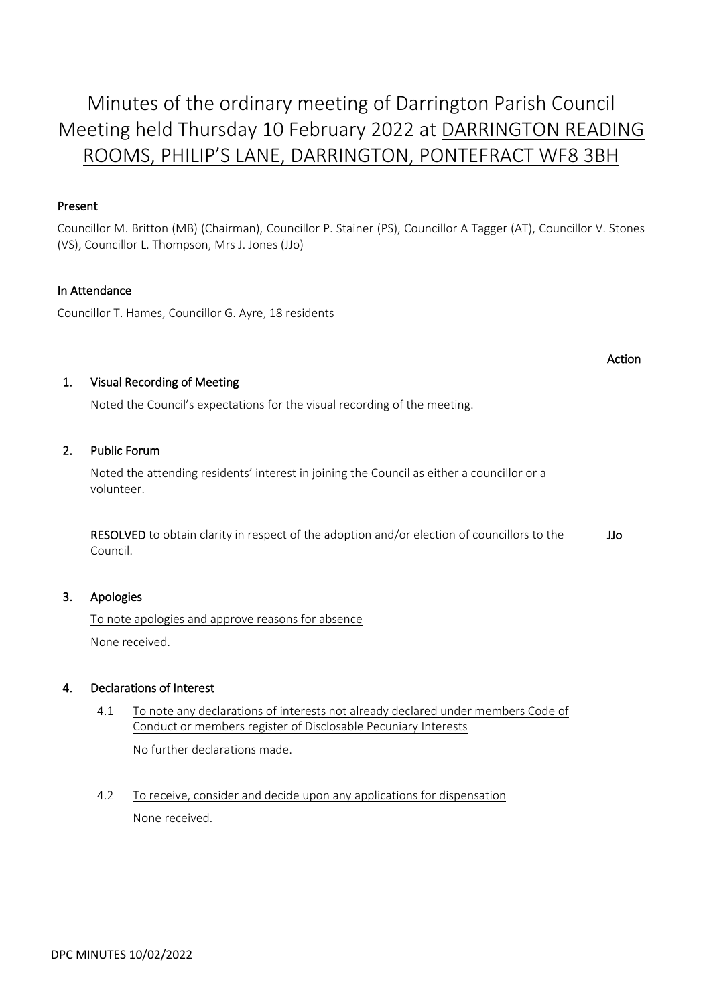# Minutes of the ordinary meeting of Darrington Parish Council Meeting held Thursday 10 February 2022 at DARRINGTON READING ROOMS, PHILIP'S LANE, DARRINGTON, PONTEFRACT WF8 3BH

# Present

Councillor M. Britton (MB) (Chairman), Councillor P. Stainer (PS), Councillor A Tagger (AT), Councillor V. Stones (VS), Councillor L. Thompson, Mrs J. Jones (JJo)

# In Attendance

Councillor T. Hames, Councillor G. Ayre, 18 residents

#### Action

# 1. Visual Recording of Meeting

Noted the Council's expectations for the visual recording of the meeting.

# 2. Public Forum

 Noted the attending residents' interest in joining the Council as either a councillor or a volunteer.

 RESOLVED to obtain clarity in respect of the adoption and/or election of councillors to the Council. JJo

# 3. Apologies

 To note apologies and approve reasons for absence None received.

# 4. Declarations of Interest

- 4.1 To note any declarations of interests not already declared under members Code of Conduct or members register of Disclosable Pecuniary Interests No further declarations made.
- 4.2 To receive, consider and decide upon any applications for dispensation None received.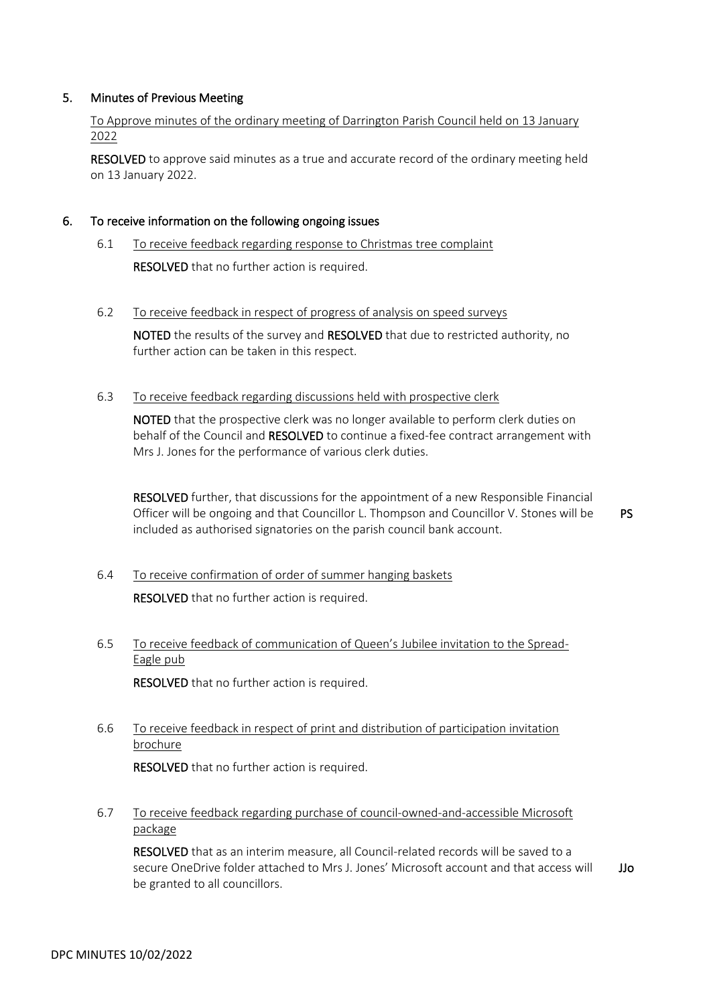# 5. Minutes of Previous Meeting

 To Approve minutes of the ordinary meeting of Darrington Parish Council held on 13 January 2022

 RESOLVED to approve said minutes as a true and accurate record of the ordinary meeting held on 13 January 2022.

#### 6. To receive information on the following ongoing issues

- 6.1 To receive feedback regarding response to Christmas tree complaint RESOLVED that no further action is required.
- 6.2 To receive feedback in respect of progress of analysis on speed surveys

 NOTED the results of the survey and RESOLVED that due to restricted authority, no further action can be taken in this respect.

#### 6.3 To receive feedback regarding discussions held with prospective clerk

 NOTED that the prospective clerk was no longer available to perform clerk duties on behalf of the Council and RESOLVED to continue a fixed-fee contract arrangement with Mrs J. Jones for the performance of various clerk duties.

 RESOLVED further, that discussions for the appointment of a new Responsible Financial Officer will be ongoing and that Councillor L. Thompson and Councillor V. Stones will be included as authorised signatories on the parish council bank account. PS

- 6.4 To receive confirmation of order of summer hanging baskets RESOLVED that no further action is required.
- 6.5 To receive feedback of communication of Queen's Jubilee invitation to the Spread-Eagle pub

RESOLVED that no further action is required.

 6.6 To receive feedback in respect of print and distribution of participation invitation brochure

RESOLVED that no further action is required.

 6.7 To receive feedback regarding purchase of council-owned-and-accessible Microsoft package

 RESOLVED that as an interim measure, all Council-related records will be saved to a secure OneDrive folder attached to Mrs J. Jones' Microsoft account and that access will be granted to all councillors. JJo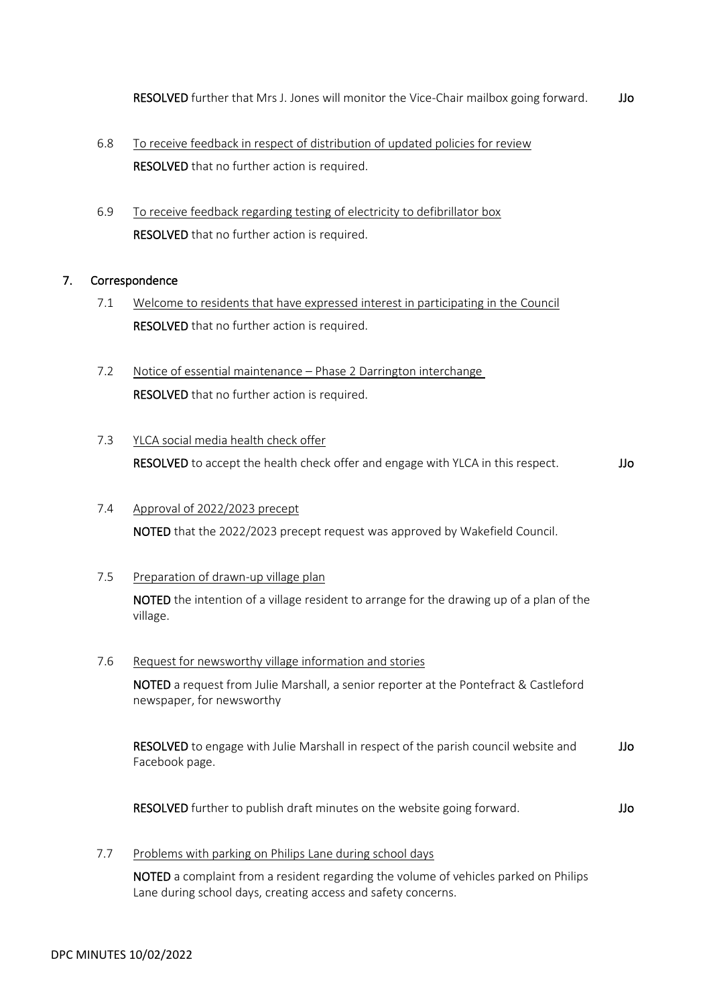- 6.8 To receive feedback in respect of distribution of updated policies for review RESOLVED that no further action is required.
- 6.9 To receive feedback regarding testing of electricity to defibrillator box RESOLVED that no further action is required.

# 7. Correspondence

- 7.1 Welcome to residents that have expressed interest in participating in the Council RESOLVED that no further action is required.
- 7.2 Notice of essential maintenance Phase 2 Darrington interchange RESOLVED that no further action is required.
- 7.3 YLCA social media health check offer RESOLVED to accept the health check offer and engage with YLCA in this respect. JJo

# 7.4 Approval of 2022/2023 precept NOTED that the 2022/2023 precept request was approved by Wakefield Council.

# 7.5 Preparation of drawn-up village plan

 NOTED the intention of a village resident to arrange for the drawing up of a plan of the village.

# 7.6 Request for newsworthy village information and stories

 NOTED a request from Julie Marshall, a senior reporter at the Pontefract & Castleford newspaper, for newsworthy

 RESOLVED to engage with Julie Marshall in respect of the parish council website and Facebook page. JJo

RESOLVED further to publish draft minutes on the website going forward. JJo

7.7 Problems with parking on Philips Lane during school days

 NOTED a complaint from a resident regarding the volume of vehicles parked on Philips Lane during school days, creating access and safety concerns.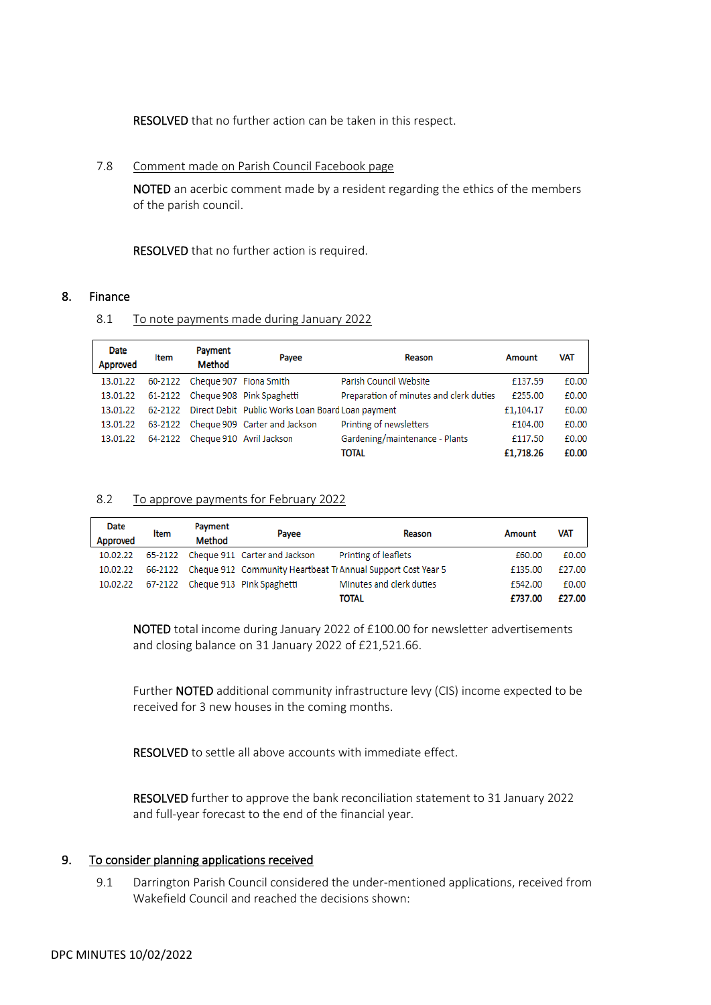RESOLVED that no further action can be taken in this respect.

#### 7.8 Comment made on Parish Council Facebook page

 NOTED an acerbic comment made by a resident regarding the ethics of the members of the parish council.

RESOLVED that no further action is required.

# 8. Finance

#### 8.1 To note payments made during January 2022

| <b>Date</b><br>Approved | Item | Payment<br>Method              | Payee                                                     | Reason                                  | Amount    | <b>VAT</b> |
|-------------------------|------|--------------------------------|-----------------------------------------------------------|-----------------------------------------|-----------|------------|
| 13.01.22                |      | 60-2122 Cheque 907 Fiona Smith |                                                           | Parish Council Website                  | £137.59   | £0.00      |
| 13.01.22                |      |                                | 61-2122 Cheque 908 Pink Spaghetti                         | Preparation of minutes and clerk duties | £255.00   | £0.00      |
| 13.01.22                |      |                                | 62-2122 Direct Debit Public Works Loan Board Loan payment |                                         | £1,104.17 | £0.00      |
| 13.01.22                |      |                                | 63-2122 Cheque 909 Carter and Jackson                     | Printing of newsletters                 | £104.00   | £0.00      |
| 13.01.22                |      |                                | 64-2122 Cheque 910 Avril Jackson                          | Gardening/maintenance - Plants          | £117.50   | £0.00      |
|                         |      |                                |                                                           | <b>TOTAL</b>                            | £1,718.26 | £0.00      |

#### 8.2 To approve payments for February 2022

| Date     | Item | Payment       | Payee                                 | Reason                                                               | Amount  | <b>VAT</b> |
|----------|------|---------------|---------------------------------------|----------------------------------------------------------------------|---------|------------|
| Approved |      | <b>Method</b> |                                       |                                                                      |         |            |
| 10.02.22 |      |               | 65-2122 Cheque 911 Carter and Jackson | Printing of leaflets                                                 | £60.00  | £0.00      |
| 10.02.22 |      |               |                                       | 66-2122 Cheque 912 Community Heartbeat Tr Annual Support Cost Year 5 | £135.00 | £27.00     |
| 10.02.22 |      |               | 67-2122 Cheque 913 Pink Spaghetti     | Minutes and clerk duties                                             | £542.00 | £0.00      |
|          |      |               |                                       | <b>TOTAL</b>                                                         | £737.00 | £27.00     |

 NOTED total income during January 2022 of £100.00 for newsletter advertisements and closing balance on 31 January 2022 of £21,521.66.

 Further NOTED additional community infrastructure levy (CIS) income expected to be received for 3 new houses in the coming months.

RESOLVED to settle all above accounts with immediate effect.

 RESOLVED further to approve the bank reconciliation statement to 31 January 2022 and full-year forecast to the end of the financial year.

# 9. To consider planning applications received

 9.1 Darrington Parish Council considered the under-mentioned applications, received from Wakefield Council and reached the decisions shown: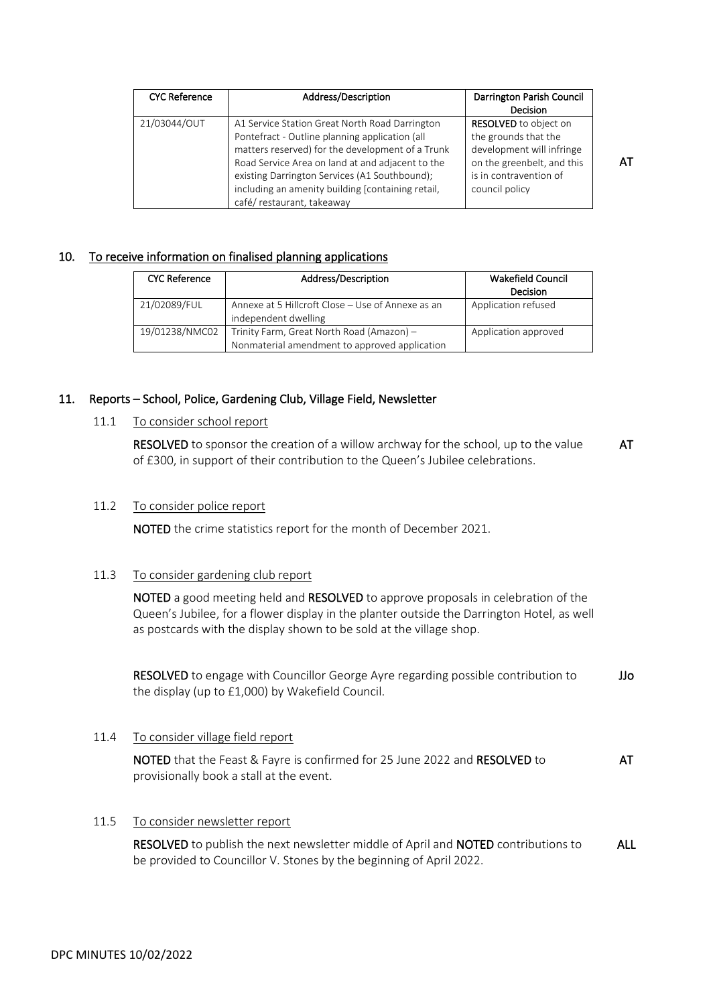| <b>CYC Reference</b> | Address/Description                                                                                                                                                                                                                                                                                                                         | Darrington Parish Council<br>Decision                                                                                                                       |
|----------------------|---------------------------------------------------------------------------------------------------------------------------------------------------------------------------------------------------------------------------------------------------------------------------------------------------------------------------------------------|-------------------------------------------------------------------------------------------------------------------------------------------------------------|
| 21/03044/OUT         | A1 Service Station Great North Road Darrington<br>Pontefract - Outline planning application (all<br>matters reserved) for the development of a Trunk<br>Road Service Area on land at and adjacent to the<br>existing Darrington Services (A1 Southbound);<br>including an amenity building [containing retail,<br>café/restaurant, takeaway | <b>RESOLVED</b> to object on<br>the grounds that the<br>development will infringe<br>on the greenbelt, and this<br>is in contravention of<br>council policy |

#### 10. To receive information on finalised planning applications

| <b>CYC Reference</b> | Address/Description                                                                        | <b>Wakefield Council</b><br>Decision |
|----------------------|--------------------------------------------------------------------------------------------|--------------------------------------|
| 21/02089/FUL         | Annexe at 5 Hillcroft Close – Use of Annexe as an<br>independent dwelling                  | Application refused                  |
| 19/01238/NMC02       | Trinity Farm, Great North Road (Amazon) -<br>Nonmaterial amendment to approved application | Application approved                 |

#### 11. Reports – School, Police, Gardening Club, Village Field, Newsletter

# 11.1 To consider school report

 RESOLVED to sponsor the creation of a willow archway for the school, up to the value of £300, in support of their contribution to the Queen's Jubilee celebrations. AT

#### 11.2 To consider police report

NOTED the crime statistics report for the month of December 2021.

# 11.3 To consider gardening club report

 NOTED a good meeting held and RESOLVED to approve proposals in celebration of the Queen's Jubilee, for a flower display in the planter outside the Darrington Hotel, as well as postcards with the display shown to be sold at the village shop.

 RESOLVED to engage with Councillor George Ayre regarding possible contribution to the display (up to £1,000) by Wakefield Council. JJo

#### 11.4 To consider village field report

 NOTED that the Feast & Fayre is confirmed for 25 June 2022 and RESOLVED to provisionally book a stall at the event. AT

#### 11.5 To consider newsletter report

 RESOLVED to publish the next newsletter middle of April and NOTED contributions to be provided to Councillor V. Stones by the beginning of April 2022. ALL